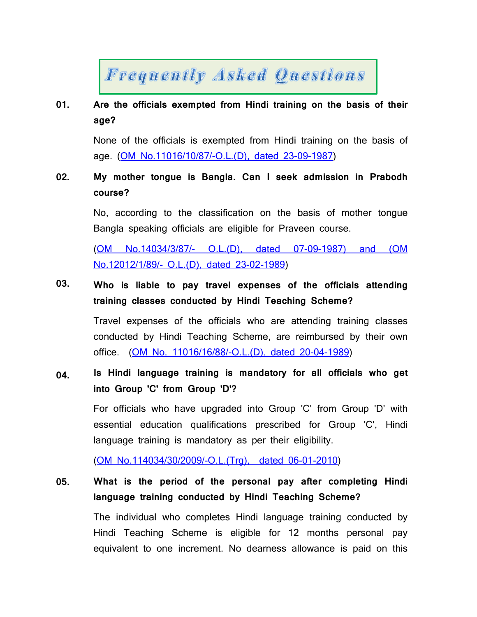# **Frequently Asked Questions**

#### **01. Are the officials exempted from Hindi training on the basis of their age?**

None of the officials is exempted from Hindi training on the basis of age. (OM No.[11016/10/87/](faqpdf/1E.pdf)-O.L.(D), dated 23-09-1987)

#### **02. My mother tongue is Bangla. Can I seek admission in Prabodh course?**

No, according to the classification on the basis of mother tongue Bangla speaking officials are eligible for Praveen course.

(OM [No.14034](faqpdf/2E.pdf)/3/87/- O.L.(D), dated 07-09-1987) and (OM [No.12012](faqpdf/2E.pdf)/1/89/- O.L.(D), dated 23-02-1989)

#### **03. Who is liable to pay travel expenses of the officials attending training classes conducted by Hindi Teaching Scheme?**

Travel expenses of the officials who are attending training classes conducted by Hindi Teaching Scheme, are reimbursed by their own office. (OM No. [11016/16/88](faqpdf/3E.pdf)/-O.L.(D), dated 20-04-1989)

#### **04. Is Hindi language training is mandatory for all officials who get into Group 'C' from Group 'D'?**

For officials who have upgraded into Group 'C' from Group 'D' with essential education qualifications prescribed for Group 'C', Hindi language training is mandatory as per their eligibility.

(OM [No.114034/30/2009](faqpdf/4HE.pdf)/-O.L.(Trg), dated 06-01-2010)

#### **05. What is the period of the personal pay after completing Hindi language training conducted by Hindi Teaching Scheme?**

The individual who completes Hindi language training conducted by Hindi Teaching Scheme is eligible for 12 months personal pay equivalent to one increment. No dearness allowance is paid on this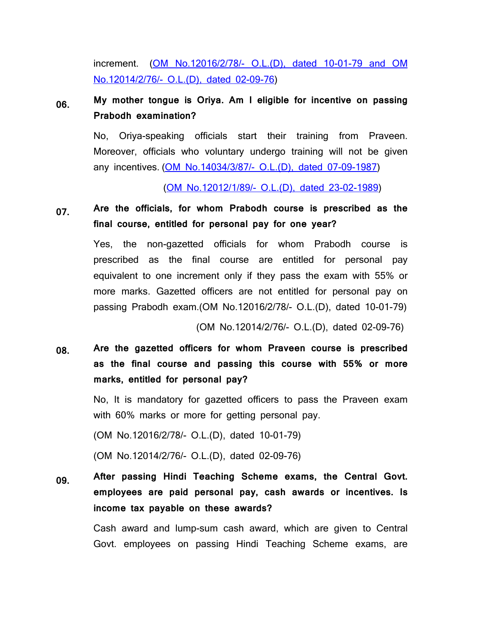increment. (OM [No.12016](faqpdf/5E1.pdf)/2/78/- O.L.(D), dated 10-01-79 and OM [No.12014](faqpdf/5E1.pdf)/2/76/- O.L.(D), dated 02-09-76)

#### **06. My mother tongue is Oriya. Am I eligible for incentive on passing Prabodh examination?**

No, Oriya-speaking officials start their training from Praveen. Moreover, officials who voluntary undergo training will not be given any incentives. (OM [No.14034](faqpdf/2E.pdf)/3/87/- O.L.(D), dated 07-09-1987)

(OM [No.12012](faqpdf/2E.pdf)/1/89/- O.L.(D), dated 23-02-1989)

**07. Are the officials, for whom Prabodh course is prescribed as the final course, entitled for personal pay for one year?**

Yes, the non-gazetted officials for whom Prabodh course is prescribed as the final course are entitled for personal pay equivalent to one increment only if they pass the exam with 55% or more marks. Gazetted officers are not entitled for personal pay on passing Prabodh exam.(OM No.12016/2/78/- O.L.(D), dated 10-01-79)

(OM No.12014/2/76/- O.L.(D), dated 02-09-76)

**08. Are the gazetted officers for whom Praveen course is prescribed as the final course and passing this course with 55% or more marks, entitled for personal pay?**

> No, It is mandatory for gazetted officers to pass the Praveen exam with 60% marks or more for getting personal pay.

(OM No.12016/2/78/- O.L.(D), dated 10-01-79)

(OM No.12014/2/76/- O.L.(D), dated 02-09-76)

**09. After passing Hindi Teaching Scheme exams, the Central Govt. employees are paid personal pay, cash awards or incentives. Is income tax payable on these awards?**

> Cash award and lump-sum cash award, which are given to Central Govt. employees on passing Hindi Teaching Scheme exams, are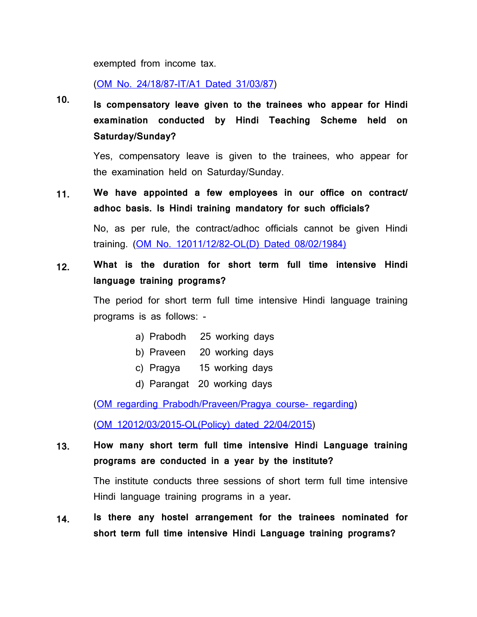exempted from income tax.

(OM No. [24/18/87-IT/A1](faqpdf/9E.pdf) Dated 31/03/87)

**10. Is compensatory leave given to the trainees who appear for Hindi examination conducted by Hindi Teaching Scheme held on Saturday/Sunday?**

> Yes, compensatory leave is given to the trainees, who appear for the examination held on Saturday/Sunday.

**11. We have appointed a few employees in our office on contract/ adhoc basis. Is Hindi training mandatory for such officials?**

> No, as per rule, the contract/adhoc officials cannot be given Hindi training. (OM No. [12011/12/82-OL\(D\)](faqpdf/11E.pdf) Dated 08/02/1984)

**12. What is the duration for short term full time intensive Hindi language training programs?**

> The period for short term full time intensive Hindi language training programs is as follows: -

- a) Prabodh 25 working days
- b) Praveen 20 working days
- c) Pragya 15 working days
- d) Parangat 20 working days

(OM regarding [Prabodh/Praveen/Pragya](faqpdf/12E.pdf) course- regarding)

(OM [12012/03/2015-OL\(Policy\)](faqpdf/12E.pdf) dated 22/04/2015)

**13. How many short term full time intensive Hindi Language training programs are conducted in a year by the institute?**

> The institute conducts three sessions of short term full time intensive Hindi language training programs in a year**.**

**14. Is there any hostel arrangement for the trainees nominated for short term full time intensive Hindi Language training programs?**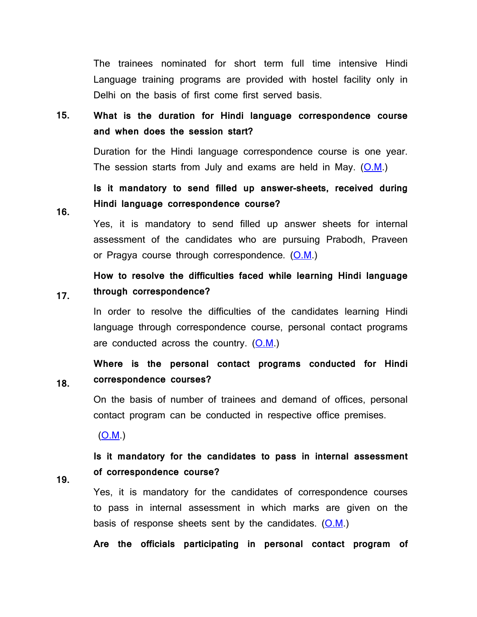The trainees nominated for short term full time intensive Hindi Language training programs are provided with hostel facility only in Delhi on the basis of first come first served basis.

**15. What is the duration for Hindi language correspondence course and when does the session start?**

> Duration for the Hindi language correspondence course is one year. The session starts from July and exams are held in May. [\(O.M.](faqpdf/15E-1.pdf))

**Is it mandatory to send filled up answer-sheets, received during Hindi language correspondence course?**

Yes, it is mandatory to send filled up answer sheets for internal assessment of the candidates who are pursuing Prabodh, Praveen or Pragya course through correspondence.  $(0.M.)$ 

#### **17. How to resolve the difficulties faced while learning Hindi language through correspondence?**

In order to resolve the difficulties of the candidates learning Hindi language through correspondence course, personal contact programs are conducted across the country.  $(O.M.)$  $(O.M.)$ 

**Where is the personal contact programs conducted for Hindi correspondence courses?**

On the basis of number of trainees and demand of offices, personal contact program can be conducted in respective office premises.

[\(O.M.](faqpdf/15E-1.pdf))

**Is it mandatory for the candidates to pass in internal assessment of correspondence course?**

**19.**

**18.**

**16.**

Yes, it is mandatory for the candidates of correspondence courses to pass in internal assessment in which marks are given on the basis of response sheets sent by the candidates.  $(0.M.)$ 

**Are the officials participating in personal contact program of**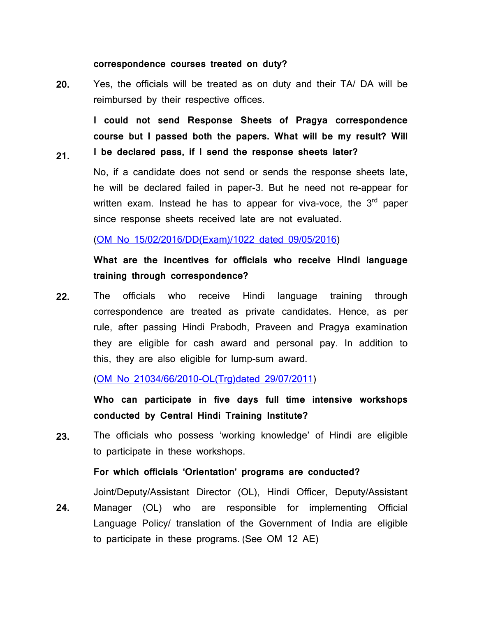### **correspondence courses treated on duty?**

**21.**

**20.** Yes, the officials will be treated as on duty and their TA/ DA will be reimbursed by their respective offices.

**I could not send Response Sheets of Pragya correspondence course but I passed both the papers. What will be my result? Will I be declared pass, if I send the response sheets later?**

No, if a candidate does not send or sends the response sheets late, he will be declared failed in paper-3. But he need not re-appear for written exam. Instead he has to appear for viva-voce, the 3<sup>rd</sup> paper since response sheets received late are not evaluated.

(OM No [15/02/2016/DD\(Exam\)/1022](faqpdf/21H.pdf) dated 09/05/2016)

# **What are the incentives for officials who receive Hindi language training through correspondence?**

**22.** The officials who receive Hindi language training through correspondence are treated as private candidates. Hence, as per rule, after passing Hindi Prabodh, Praveen and Pragya examination they are eligible for cash award and personal pay. In addition to this, they are also eligible for lump-sum award.

(OM No [21034/66/2010-OL\(Trg\)dated](faqpdf/22E.pdf) 29/07/2011)

**Who can participate in five days full time intensive workshops conducted by Central Hindi Training Institute?**

**23.** The officials who possess 'working knowledge' of Hindi are eligible to participate in these workshops.

**For which officials 'Orientation' programs are conducted?**

Joint/Deputy/Assistant Director (OL), Hindi Officer, Deputy/Assistant

**24.**  Manager (OL) who are responsible for implementing Official Language Policy/ translation of the Government of India are eligible to participate in these programs. (See OM 12 AE)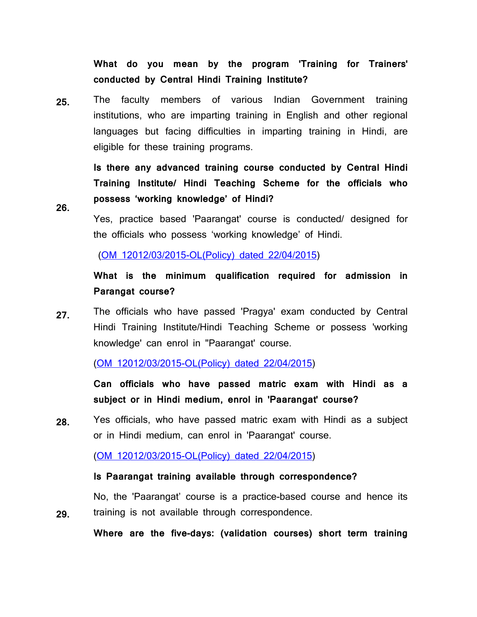**What do you mean by the program 'Training for Trainers' conducted by Central Hindi Training Institute?**

**25.** The faculty members of various Indian Government training institutions, who are imparting training in English and other regional languages but facing difficulties in imparting training in Hindi, are eligible for these training programs.

> **Is there any advanced training course conducted by Central Hindi Training Institute/ Hindi Teaching Scheme for the officials who possess 'working knowledge' of Hindi?**

**26.**

Yes, practice based 'Paarangat' course is conducted/ designed for the officials who possess 'working knowledge' of Hindi.

(OM [12012/03/2015-OL\(Policy\)](faqpdf/12E.pdf) dated 22/04/2015)

**What is the minimum qualification required for admission in Parangat course?**

**27.** The officials who have passed 'Pragya' exam conducted by Central Hindi Training Institute/Hindi Teaching Scheme or possess 'working knowledge' can enrol in "Paarangat' course.

(OM [12012/03/2015-OL\(Policy\)](faqpdf/12E.pdf) dated 22/04/2015)

**Can officials who have passed matric exam with Hindi as a subject or in Hindi medium, enrol in 'Paarangat' course?**

**28.** Yes officials, who have passed matric exam with Hindi as a subject or in Hindi medium, can enrol in 'Paarangat' course.

(OM [12012/03/2015-OL\(Policy\)](faqpdf/12E.pdf) dated 22/04/2015)

**Is Paarangat training available through correspondence?**

**29.** No, the 'Paarangat' course is a practice-based course and hence its training is not available through correspondence.

**Where are the five-days: (validation courses) short term training**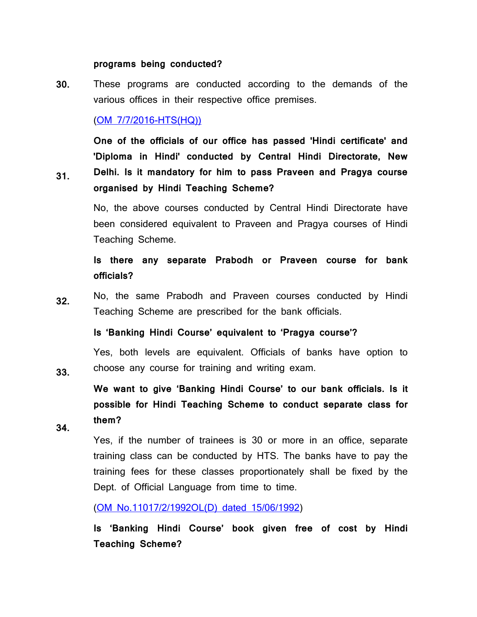## **programs being conducted?**

**30.** These programs are conducted according to the demands of the various offices in their respective office premises.

# (OM [7/7/2016-HTS\(HQ\)\)](faqpdf/30H.pdf)

**One of the officials of our office has passed 'Hindi certificate' and 'Diploma in Hindi' conducted by Central Hindi Directorate, New Delhi. Is it mandatory for him to pass Praveen and Pragya course organised by Hindi Teaching Scheme?**

No, the above courses conducted by Central Hindi Directorate have been considered equivalent to Praveen and Pragya courses of Hindi Teaching Scheme.

**Is there any separate Prabodh or Praveen course for bank officials?**

**32.** No, the same Prabodh and Praveen courses conducted by Hindi Teaching Scheme are prescribed for the bank officials.

**Is 'Banking Hindi Course' equivalent to 'Pragya course'?**

Yes, both levels are equivalent. Officials of banks have option to choose any course for training and writing exam.

**We want to give 'Banking Hindi Course' to our bank officials. Is it possible for Hindi Teaching Scheme to conduct separate class for them?**

**34.**

**33.**

**31.**

Yes, if the number of trainees is 30 or more in an office, separate training class can be conducted by HTS. The banks have to pay the training fees for these classes proportionately shall be fixed by the Dept. of Official Language from time to time.

(OM [No.11017/2/1992OL\(D\)](faqpdf/34E.pdf) dated 15/06/1992)

**Is 'Banking Hindi Course' book given free of cost by Hindi Teaching Scheme?**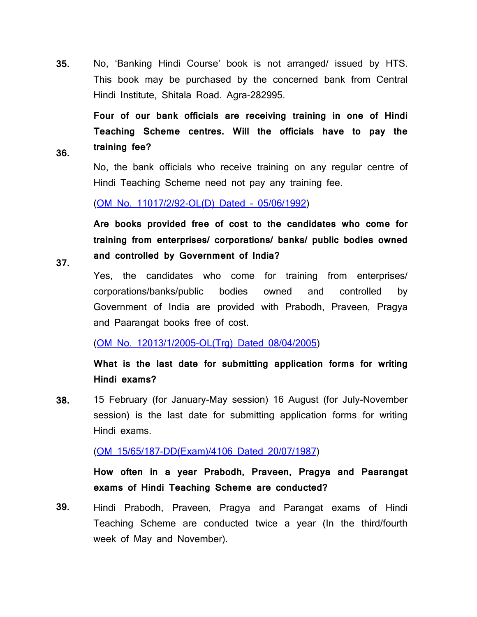**35.** No, 'Banking Hindi Course' book is not arranged/ issued by HTS. This book may be purchased by the concerned bank from Central Hindi Institute, Shitala Road. Agra-282995.

**Four of our bank officials are receiving training in one of Hindi Teaching Scheme centres. Will the officials have to pay the training fee?**

No, the bank officials who receive training on any regular centre of Hindi Teaching Scheme need not pay any training fee.

(OM No. [11017/2/92-OL\(D\)](faqpdf/34E.pdf) Dated - 05/06/1992)

**Are books provided free of cost to the candidates who come for training from enterprises/ corporations/ banks/ public bodies owned and controlled by Government of India?**

**37.**

**36.**

Yes, the candidates who come for training from enterprises/ corporations/banks/public bodies owned and controlled by Government of India are provided with Prabodh, Praveen, Pragya and Paarangat books free of cost.

(OM No. [12013/1/2005-OL\(Trg\)](faqpdf/37E.pdf) Dated 08/04/2005)

**What is the last date for submitting application forms for writing Hindi exams?**

**38.** 15 February (for January-May session) 16 August (for July-November session) is the last date for submitting application forms for writing Hindi exams.

(OM [15/65/187-DD\(Exam\)/4106](faqpdf/38-39E.pdf) Dated 20/07/1987)

**How often in a year Prabodh, Praveen, Pragya and Paarangat exams of Hindi Teaching Scheme are conducted?**

**39.** Hindi Prabodh, Praveen, Pragya and Parangat exams of Hindi Teaching Scheme are conducted twice a year (In the third/fourth week of May and November).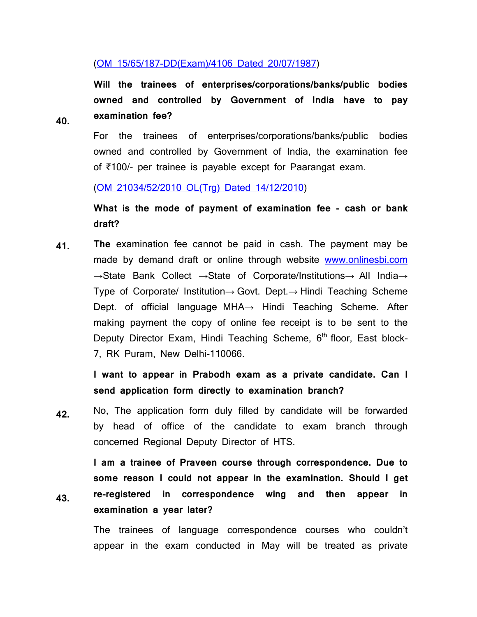# (OM [15/65/187-DD\(Exam\)/4106](faqpdf/38-39E.pdf) Dated 20/07/1987)

**Will the trainees of enterprises/corporations/banks/public bodies owned and controlled by Government of India have to pay examination fee?**

**40.**

**43.**

For the trainees of enterprises/corporations/banks/public bodies owned and controlled by Government of India, the examination fee of  $\bar{\tau}$ 100/- per trainee is payable except for Paarangat exam.

(OM [21034/52/2010](faqpdf/40H.pdf) OL(Trg) Dated 14/12/2010)

**What is the mode of payment of examination fee - cash or bank draft?**

**41. The** examination fee cannot be paid in cash. The payment may be made by demand draft or online through website [www.onlinesbi.com](http://www.onlinesbi.com/) →State Bank Collect →State of Corporate/Institutions→ All India→ Type of Corporate/ Institution→ Govt. Dept.→ Hindi Teaching Scheme Dept. of official language MHA→ Hindi Teaching Scheme. After making payment the copy of online fee receipt is to be sent to the Deputy Director Exam, Hindi Teaching Scheme, 6<sup>th</sup> floor, East block-7, RK Puram, New Delhi-110066.

> **I want to appear in Prabodh exam as a private candidate. Can I send application form directly to examination branch?**

**42.** No, The application form duly filled by candidate will be forwarded by head of office of the candidate to exam branch through concerned Regional Deputy Director of HTS.

**I am a trainee of Praveen course through correspondence. Due to some reason I could not appear in the examination. Should I get re-registered in correspondence wing and then appear in examination a year later?**

The trainees of language correspondence courses who couldn't appear in the exam conducted in May will be treated as private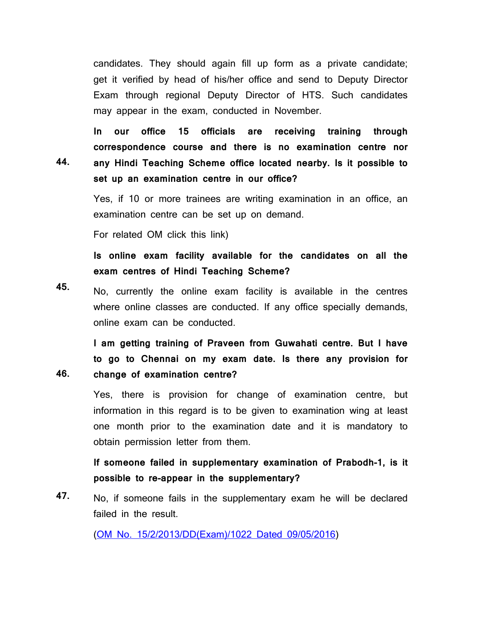candidates. They should again fill up form as a private candidate; get it verified by head of his/her office and send to Deputy Director Exam through regional Deputy Director of HTS. Such candidates may appear in the exam, conducted in November.

**44. In our office 15 officials are receiving training through correspondence course and there is no examination centre nor any Hindi Teaching Scheme office located nearby. Is it possible to set up an examination centre in our office?**

> Yes, if 10 or more trainees are writing examination in an office, an examination centre can be set up on demand.

For related OM click this link)

**46.**

**Is online exam facility available for the candidates on all the exam centres of Hindi Teaching Scheme?**

**45.** No, currently the online exam facility is available in the centres where online classes are conducted. If any office specially demands, online exam can be conducted.

**I am getting training of Praveen from Guwahati centre. But I have to go to Chennai on my exam date. Is there any provision for change of examination centre?**

Yes, there is provision for change of examination centre, but information in this regard is to be given to examination wing at least one month prior to the examination date and it is mandatory to obtain permission letter from them.

**If someone failed in supplementary examination of Prabodh-1, is it possible to re-appear in the supplementary?**

**47.** No, if someone fails in the supplementary exam he will be declared failed in the result.

(OM No. [15/2/2013/DD\(Exam\)/1022](faqpdf/47H.pdf) Dated 09/05/2016)